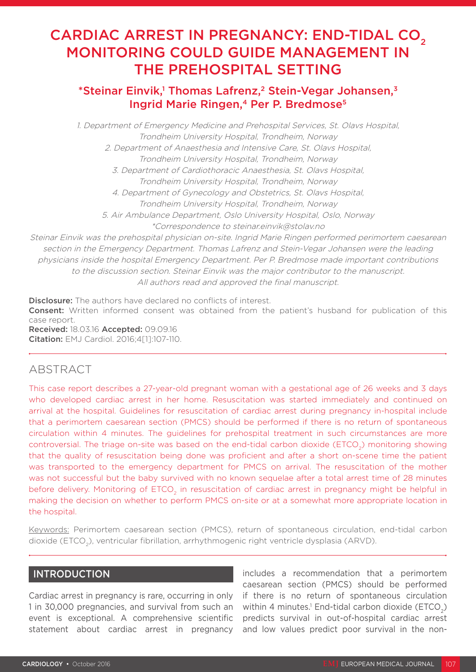# CARDIAC ARREST IN PREGNANCY: END-TIDAL CO<sub>2</sub> MONITORING COULD GUIDE MANAGEMENT IN THE PREHOSPITAL SETTING

# \*Steinar Einvik,<sup>1</sup> Thomas Lafrenz,<sup>2</sup> Stein-Vegar Johansen,<sup>3</sup> Ingrid Marie Ringen,<sup>4</sup> Per P. Bredmose<sup>5</sup>

1. Department of Emergency Medicine and Prehospital Services, St. Olavs Hospital, Trondheim University Hospital, Trondheim, Norway

2. Department of Anaesthesia and Intensive Care, St. Olavs Hospital, Trondheim University Hospital, Trondheim, Norway

3. Department of Cardiothoracic Anaesthesia, St. Olavs Hospital, Trondheim University Hospital, Trondheim, Norway

4. Department of Gynecology and Obstetrics, St. Olavs Hospital,

Trondheim University Hospital, Trondheim, Norway

5. Air Ambulance Department, Oslo University Hospital, Oslo, Norway

\*Correspondence to steinar.einvik@stolav.no

Steinar Einvik was the prehospital physician on-site. Ingrid Marie Ringen performed perimortem caesarean section in the Emergency Department. Thomas Lafrenz and Stein-Vegar Johansen were the leading physicians inside the hospital Emergency Department. Per P. Bredmose made important contributions to the discussion section. Steinar Einvik was the major contributor to the manuscript. All authors read and approved the final manuscript.

Disclosure: The authors have declared no conflicts of interest. **Consent:** Written informed consent was obtained from the patient's husband for publication of this case report. Received: 18.03.16 Accepted: 09.09.16 Citation: EMJ Cardiol. 2016;4[1]:107-110.

## ABSTRACT

This case report describes a 27-year-old pregnant woman with a gestational age of 26 weeks and 3 days who developed cardiac arrest in her home. Resuscitation was started immediately and continued on arrival at the hospital. Guidelines for resuscitation of cardiac arrest during pregnancy in-hospital include that a perimortem caesarean section (PMCS) should be performed if there is no return of spontaneous circulation within 4 minutes. The guidelines for prehospital treatment in such circumstances are more controversial. The triage on-site was based on the end-tidal carbon dioxide (ETCO<sub>2</sub>) monitoring showing that the quality of resuscitation being done was proficient and after a short on-scene time the patient was transported to the emergency department for PMCS on arrival. The resuscitation of the mother was not successful but the baby survived with no known sequelae after a total arrest time of 28 minutes before delivery. Monitoring of ETCO<sub>2</sub> in resuscitation of cardiac arrest in pregnancy might be helpful in making the decision on whether to perform PMCS on-site or at a somewhat more appropriate location in the hospital.

Keywords: Perimortem caesarean section (PMCS), return of spontaneous circulation, end-tidal carbon dioxide (ETCO<sub>2</sub>), ventricular fibrillation, arrhythmogenic right ventricle dysplasia (ARVD).

## INTRODUCTION

Cardiac arrest in pregnancy is rare, occurring in only 1 in 30,000 pregnancies, and survival from such an event is exceptional. A comprehensive scientific statement about cardiac arrest in pregnancy includes a recommendation that a perimortem caesarean section (PMCS) should be performed if there is no return of spontaneous circulation within 4 minutes.<sup>1</sup> End-tidal carbon dioxide (ETCO<sub>2</sub>) predicts survival in out-of-hospital cardiac arrest and low values predict poor survival in the non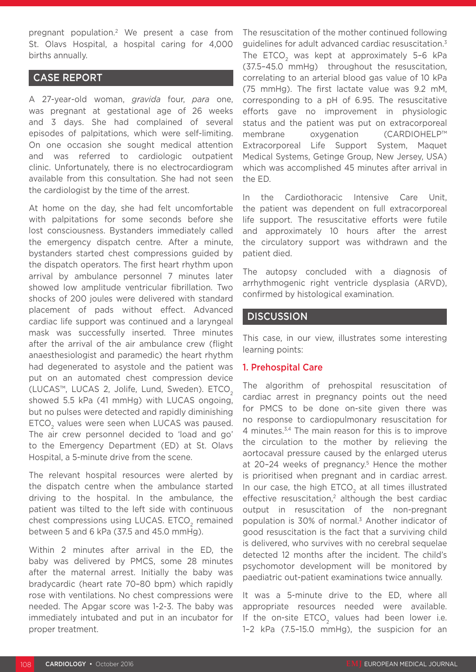pregnant population.2 We present a case from St. Olavs Hospital, a hospital caring for 4,000 births annually.

### CASE REPORT

A 27-year-old woman, *gravida* four, *para* one, was pregnant at gestational age of 26 weeks and 3 days. She had complained of several episodes of palpitations, which were self-limiting. On one occasion she sought medical attention and was referred to cardiologic outpatient clinic. Unfortunately, there is no electrocardiogram available from this consultation. She had not seen the cardiologist by the time of the arrest.

At home on the day, she had felt uncomfortable with palpitations for some seconds before she lost consciousness. Bystanders immediately called the emergency dispatch centre. After a minute, bystanders started chest compressions guided by the dispatch operators. The first heart rhythm upon arrival by ambulance personnel 7 minutes later showed low amplitude ventricular fibrillation. Two shocks of 200 joules were delivered with standard placement of pads without effect. Advanced cardiac life support was continued and a laryngeal mask was successfully inserted. Three minutes after the arrival of the air ambulance crew (flight anaesthesiologist and paramedic) the heart rhythm had degenerated to asystole and the patient was put on an automated chest compression device (LUCAS™, LUCAS 2, Jolife, Lund, Sweden). ETCO<sub>2</sub> showed 5.5 kPa (41 mmHg) with LUCAS ongoing, but no pulses were detected and rapidly diminishing ETCO<sub>2</sub> values were seen when LUCAS was paused. The air crew personnel decided to 'load and go' to the Emergency Department (ED) at St. Olavs Hospital, a 5-minute drive from the scene.

The relevant hospital resources were alerted by the dispatch centre when the ambulance started driving to the hospital. In the ambulance, the patient was tilted to the left side with continuous chest compressions using LUCAS. ETCO<sub>2</sub> remained between 5 and 6 kPa (37.5 and 45.0 mmHg).

Within 2 minutes after arrival in the ED, the baby was delivered by PMCS, some 28 minutes after the maternal arrest. Initially the baby was bradycardic (heart rate 70–80 bpm) which rapidly rose with ventilations. No chest compressions were needed. The Apgar score was 1-2-3. The baby was immediately intubated and put in an incubator for proper treatment.

The resuscitation of the mother continued following guidelines for adult advanced cardiac resuscitation.3 The ETCO<sub>2</sub> was kept at approximately 5-6 kPa (37.5–45.0 mmHg) throughout the resuscitation, correlating to an arterial blood gas value of 10 kPa (75 mmHg). The first lactate value was 9.2 mM, corresponding to a pH of 6.95. The resuscitative efforts gave no improvement in physiologic status and the patient was put on extracorporeal membrane oxygenation (CARDIOHELP™ Extracorporeal Life Support System, Maquet Medical Systems, Getinge Group, New Jersey, USA) which was accomplished 45 minutes after arrival in the ED.

In the Cardiothoracic Intensive Care Unit, the patient was dependent on full extracorporeal life support. The resuscitative efforts were futile and approximately 10 hours after the arrest the circulatory support was withdrawn and the patient died.

The autopsy concluded with a diagnosis of arrhythmogenic right ventricle dysplasia (ARVD), confirmed by histological examination.

#### **DISCUSSION**

This case, in our view, illustrates some interesting learning points:

#### 1. Prehospital Care

The algorithm of prehospital resuscitation of cardiac arrest in pregnancy points out the need for PMCS to be done on-site given there was no response to cardiopulmonary resuscitation for 4 minutes.<sup>3,4</sup> The main reason for this is to improve the circulation to the mother by relieving the aortocaval pressure caused by the enlarged uterus at 20-24 weeks of pregnancy.<sup>5</sup> Hence the mother is prioritised when pregnant and in cardiac arrest. In our case, the high ETCO<sub>2</sub> at all times illustrated effective resuscitation, $2$  although the best cardiac output in resuscitation of the non-pregnant population is 30% of normal.<sup>3</sup> Another indicator of good resuscitation is the fact that a surviving child is delivered, who survives with no cerebral sequelae detected 12 months after the incident. The child's psychomotor development will be monitored by paediatric out-patient examinations twice annually.

It was a 5-minute drive to the ED, where all appropriate resources needed were available. If the on-site ETCO<sub>2</sub> values had been lower i.e. 1–2 kPa (7.5–15.0 mmHg), the suspicion for an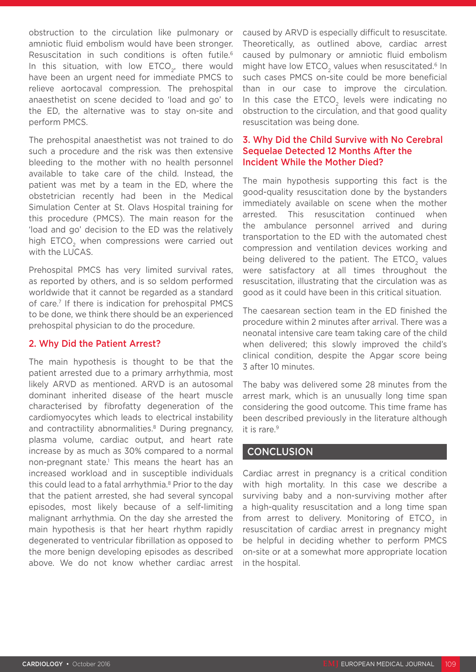obstruction to the circulation like pulmonary or amniotic fluid embolism would have been stronger. Resuscitation in such conditions is often futile.<sup>6</sup> In this situation, with low  $ETCO<sub>2</sub>$ , there would have been an urgent need for immediate PMCS to relieve aortocaval compression. The prehospital anaesthetist on scene decided to 'load and go' to the ED, the alternative was to stay on-site and perform PMCS.

The prehospital anaesthetist was not trained to do such a procedure and the risk was then extensive bleeding to the mother with no health personnel available to take care of the child. Instead, the patient was met by a team in the ED, where the obstetrician recently had been in the Medical Simulation Center at St. Olavs Hospital training for this procedure (PMCS). The main reason for the 'load and go' decision to the ED was the relatively high ETCO<sub>2</sub> when compressions were carried out with the LUCAS.

Prehospital PMCS has very limited survival rates, as reported by others, and is so seldom performed worldwide that it cannot be regarded as a standard of care.7 If there is indication for prehospital PMCS to be done, we think there should be an experienced prehospital physician to do the procedure.

#### 2. Why Did the Patient Arrest?

The main hypothesis is thought to be that the patient arrested due to a primary arrhythmia, most likely ARVD as mentioned. ARVD is an autosomal dominant inherited disease of the heart muscle characterised by fibrofatty degeneration of the cardiomyocytes which leads to electrical instability and contractility abnormalities.<sup>8</sup> During pregnancy, plasma volume, cardiac output, and heart rate increase by as much as 30% compared to a normal non-pregnant state.<sup>1</sup> This means the heart has an increased workload and in susceptible individuals this could lead to a fatal arrhythmia.<sup>8</sup> Prior to the day that the patient arrested, she had several syncopal episodes, most likely because of a self-limiting malignant arrhythmia. On the day she arrested the main hypothesis is that her heart rhythm rapidly degenerated to ventricular fibrillation as opposed to the more benign developing episodes as described above. We do not know whether cardiac arrest

caused by ARVD is especially difficult to resuscitate. Theoretically, as outlined above, cardiac arrest caused by pulmonary or amniotic fluid embolism might have low ETCO<sub>2</sub> values when resuscitated.<sup>6</sup> In such cases PMCS on-site could be more beneficial than in our case to improve the circulation. In this case the ETCO<sub>2</sub> levels were indicating no obstruction to the circulation, and that good quality resuscitation was being done.

#### 3. Why Did the Child Survive with No Cerebral Sequelae Detected 12 Months After the Incident While the Mother Died?

The main hypothesis supporting this fact is the good-quality resuscitation done by the bystanders immediately available on scene when the mother arrested. This resuscitation continued when the ambulance personnel arrived and during transportation to the ED with the automated chest compression and ventilation devices working and being delivered to the patient. The ETCO<sub>2</sub> values were satisfactory at all times throughout the resuscitation, illustrating that the circulation was as good as it could have been in this critical situation.

The caesarean section team in the ED finished the procedure within 2 minutes after arrival. There was a neonatal intensive care team taking care of the child when delivered; this slowly improved the child's clinical condition, despite the Apgar score being 3 after 10 minutes.

The baby was delivered some 28 minutes from the arrest mark, which is an unusually long time span considering the good outcome. This time frame has been described previously in the literature although it is rare.<sup>9</sup>

## **CONCLUSION**

Cardiac arrest in pregnancy is a critical condition with high mortality. In this case we describe a surviving baby and a non-surviving mother after a high-quality resuscitation and a long time span from arrest to delivery. Monitoring of  $ETCO<sub>2</sub>$  in resuscitation of cardiac arrest in pregnancy might be helpful in deciding whether to perform PMCS on-site or at a somewhat more appropriate location in the hospital.